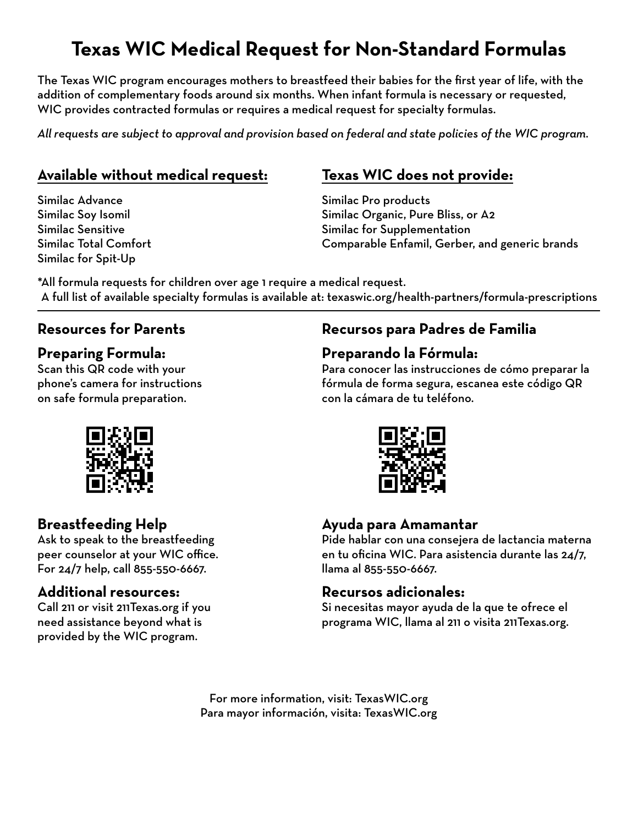# **Texas WIC Medical Request for Non-Standard Formulas**

The Texas WIC program encourages mothers to breastfeed their babies for the first year of life, with the addition of complementary foods around six months. When infant formula is necessary or requested, WIC provides contracted formulas or requires a medical request for specialty formulas.

*All requests are subject to approval and provision based on federal and state policies of the WIC program.*

#### **Available without medical request:**

Similac Advance Similac Soy Isomil Similac Sensitive Similac Total Comfort Similac for Spit-Up

## **Texas WIC does not provide:**

Similac Pro products Similac Organic, Pure Bliss, or A2 Similac for Supplementation Comparable Enfamil, Gerber, and generic brands

\*All formula requests for children over age 1 require a medical request. A full list of available specialty formulas is available at: texaswic.org/health-partners/formula-prescriptions

## **Resources for Parents**

#### **Preparing Formula:**

Scan this QR code with your phone's camera for instructions on safe formula preparation.

#### **Recursos para Padres de Familia**

#### **Preparando la Fórmula:**

Para conocer las instrucciones de cómo preparar la fórmula de forma segura, escanea este código QR con la cámara de tu teléfono.



#### **Ayuda para Amamantar**

Pide hablar con una consejera de lactancia materna en tu oficina WIC. Para asistencia durante las 24/7, llama al 855-550-6667.

#### **Recursos adicionales:**

Si necesitas mayor ayuda de la que te ofrece el programa WIC, llama al 211 o visita 211Texas.org.

For more information, visit: TexasWIC.org Para mayor información, visita: TexasWIC.org



## **Breastfeeding Help**

Ask to speak to the breastfeeding peer counselor at your WIC office. For 24/7 help, call 855-550-6667.

#### **Additional resources:**

Call 211 or visit 211Texas.org if you need assistance beyond what is provided by the WIC program.